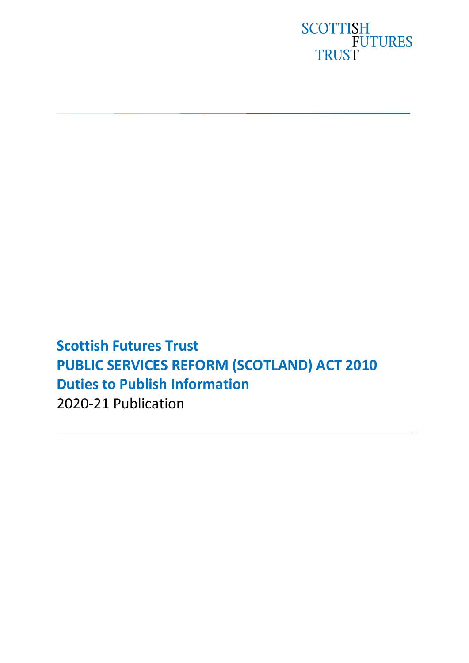

**Scottish Futures Trust PUBLIC SERVICES REFORM (SCOTLAND) ACT 2010 Duties to Publish Information** 2020-21 Publication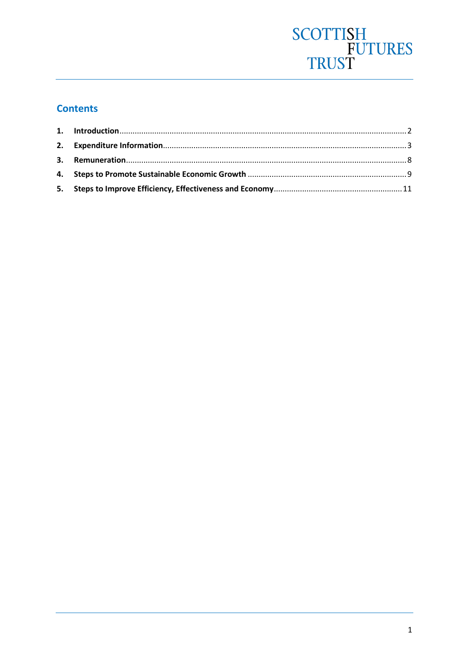# SCOTTISH<br>FUTURES<br>TRUST

## **Contents**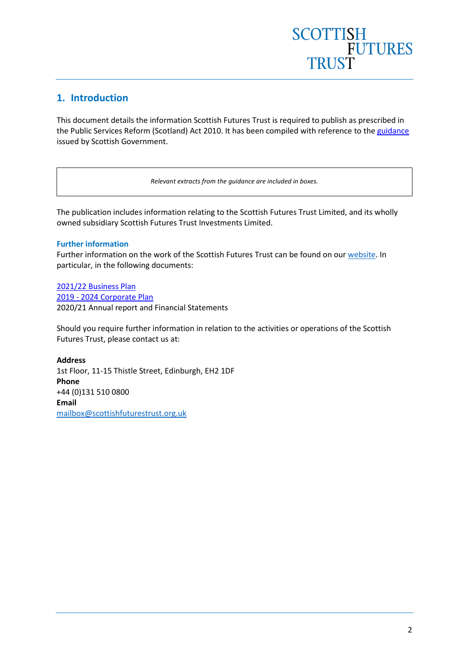### <span id="page-2-0"></span>**1. Introduction**

This document details the information Scottish Futures Trust is required to publish as prescribed in the Public Services Reform (Scotland) Act 2010. It has been compiled with reference to the [guidance](https://www.webarchive.org.uk/wayback/archive/3000/https:/www.gov.scot/Resource/Doc/44473/0116098.pdf) issued by Scottish Government.

*Relevant extracts from the guidance are included in boxes.*

The publication includes information relating to the Scottish Futures Trust Limited, and its wholly owned subsidiary Scottish Futures Trust Investments Limited.

#### **Further information**

Further information on the work of the Scottish Futures Trust can be found on our [website.](http://www.scottishfuturestrust.org.uk/) In particular, in the following documents:

[2021/22 Business Plan](https://content.yudu.com/web/1uxzj/0A444bk/SFTBusPlan202122/html/index.html?origin=reader) 2019 - [2024 Corporate Plan](https://www.scottishfuturestrust.org.uk/storage/uploads/corporateplan20192024a.pdf) 2020/21 [Annual report and Financial Statements](https://www.scottishfuturestrust.org.uk/storage/uploads/sftannualreport202021.pdf)

Should you require further information in relation to the activities or operations of the Scottish Futures Trust, please contact us at:

**Address** 1st Floor, 11-15 Thistle Street, Edinburgh, EH2 1DF **Phone** +44 (0)131 510 0800 **Email** [mailbox@scottishfuturestrust.org.uk](mailto:mailbox@scottishfuturestrust.org.uk)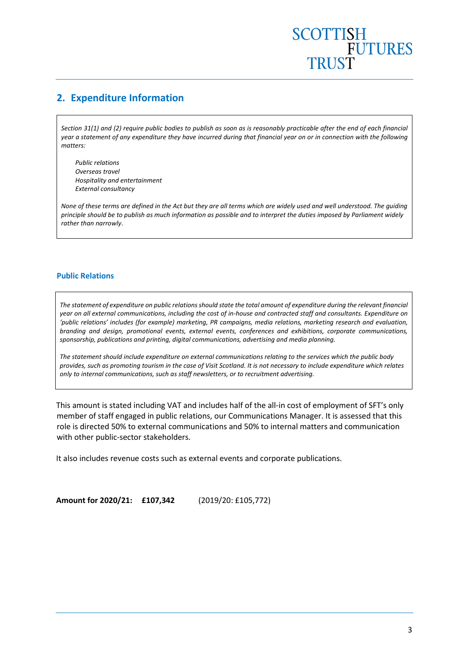### <span id="page-3-0"></span>**2. Expenditure Information**

*Section 31(1) and (2) require public bodies to publish as soon as is reasonably practicable after the end of each financial year a statement of any expenditure they have incurred during that financial year on or in connection with the following matters:* 

*Public relations Overseas travel Hospitality and entertainment External consultancy*

*None of these terms are defined in the Act but they are all terms which are widely used and well understood. The guiding principle should be to publish as much information as possible and to interpret the duties imposed by Parliament widely rather than narrowly*.

#### **Public Relations**

*The statement of expenditure on public relations should state the total amount of expenditure during the relevant financial year on all external communications, including the cost of in-house and contracted staff and consultants. Expenditure on 'public relations' includes (for example) marketing, PR campaigns, media relations, marketing research and evaluation, branding and design, promotional events, external events, conferences and exhibitions, corporate communications, sponsorship, publications and printing, digital communications, advertising and media planning.* 

*The statement should include expenditure on external communications relating to the services which the public body provides, such as promoting tourism in the case of Visit Scotland. It is not necessary to include expenditure which relates only to internal communications, such as staff newsletters, or to recruitment advertising.*

This amount is stated including VAT and includes half of the all-in cost of employment of SFT's only member of staff engaged in public relations, our Communications Manager. It is assessed that this role is directed 50% to external communications and 50% to internal matters and communication with other public-sector stakeholders.

It also includes revenue costs such as external events and corporate publications.

**Amount for 2020/21: £107,342** (2019/20: £105,772)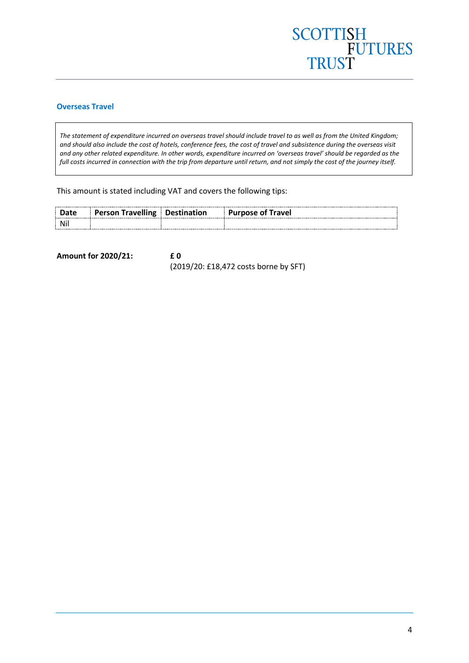## SCOTTISH<br>FUTURES<br>TRUST

#### **Overseas Travel**

*The statement of expenditure incurred on overseas travel should include travel to as well as from the United Kingdom; and should also include the cost of hotels, conference fees, the cost of travel and subsistence during the overseas visit and any other related expenditure. In other words, expenditure incurred on 'overseas travel' should be regarded as the full costs incurred in connection with the trip from departure until return, and not simply the cost of the journey itself.*

This amount is stated including VAT and covers the following tips:

| ------------------------------<br> | <b>Travelling</b><br>Person | Destination | Travel<br>Purpose of T |
|------------------------------------|-----------------------------|-------------|------------------------|
|                                    |                             |             |                        |

**Amount for 2020/21: £ 0** (2019/20: £18,472 costs borne by SFT)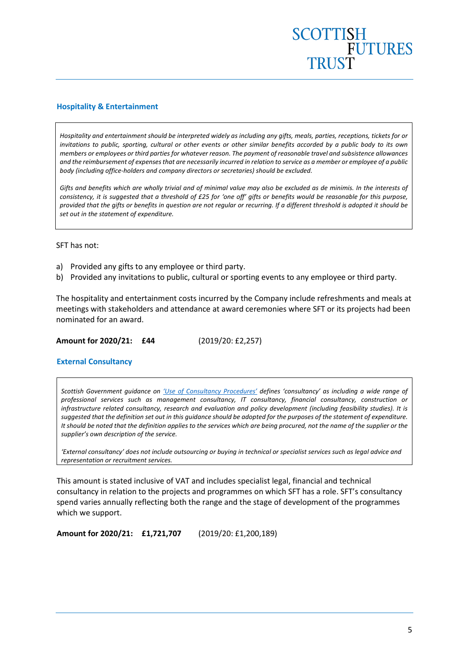#### **Hospitality & Entertainment**

*Hospitality and entertainment should be interpreted widely as including any gifts, meals, parties, receptions, tickets for or invitations to public, sporting, cultural or other events or other similar benefits accorded by a public body to its own members or employees or third parties for whatever reason. The payment of reasonable travel and subsistence allowances and the reimbursement of expenses that are necessarily incurred in relation to service as a member or employee of a public body (including office-holders and company directors or secretaries) should be excluded.* 

*Gifts and benefits which are wholly trivial and of minimal value may also be excluded as de minimis. In the interests of consistency, it is suggested that a threshold of £25 for 'one off' gifts or benefits would be reasonable for this purpose, provided that the gifts or benefits in question are not regular or recurring. If a different threshold is adopted it should be set out in the statement of expenditure.*

#### SFT has not:

- a) Provided any gifts to any employee or third party.
- b) Provided any invitations to public, cultural or sporting events to any employee or third party.

The hospitality and entertainment costs incurred by the Company include refreshments and meals at meetings with stakeholders and attendance at award ceremonies where SFT or its projects had been nominated for an award.

**Amount for 2020/21: £44** (2019/20: £2,257)

#### **External Consultancy**

*Scottish Government guidance on ['Use of Consultancy Procedures'](http://www.scotland.gov.uk/Topics/Government/Procurement/about/SPDDOCFORMS/v) defines 'consultancy' as including a wide range of professional services such as management consultancy, IT consultancy, financial consultancy, construction or infrastructure related consultancy, research and evaluation and policy development (including feasibility studies). It is suggested that the definition set out in this guidance should be adopted for the purposes of the statement of expenditure. It should be noted that the definition applies to the services which are being procured, not the name of the supplier or the supplier's own description of the service.* 

*'External consultancy' does not include outsourcing or buying in technical or specialist services such as legal advice and representation or recruitment services.*

This amount is stated inclusive of VAT and includes specialist legal, financial and technical consultancy in relation to the projects and programmes on which SFT has a role. SFT's consultancy spend varies annually reflecting both the range and the stage of development of the programmes which we support.

**Amount for 2020/21: £1,721,707** (2019/20: £1,200,189)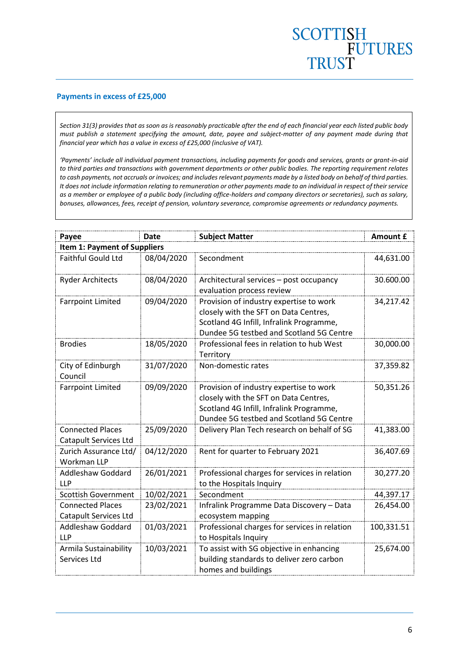#### **Payments in excess of £25,000**

*Section 31(3) provides that as soon as is reasonably practicable after the end of each financial year each listed public body must publish a statement specifying the amount, date, payee and subject-matter of any payment made during that financial year which has a value in excess of £25,000 (inclusive of VAT).* 

*'Payments' include all individual payment transactions, including payments for goods and services, grants or grant-in-aid to third parties and transactions with government departments or other public bodies. The reporting requirement relates to cash payments, not accruals or invoices; and includes relevant payments made by a listed body on behalf of third parties. It does not include information relating to remuneration or other payments made to an individual in respect of their service as a member or employee of a public body (including office-holders and company directors or secretaries), such as salary, bonuses, allowances, fees, receipt of pension, voluntary severance, compromise agreements or redundancy payments.* 

| Payee                                            | <b>Date</b> | <b>Subject Matter</b>                                                                                                                                                    | Amount £   |  |  |  |  |
|--------------------------------------------------|-------------|--------------------------------------------------------------------------------------------------------------------------------------------------------------------------|------------|--|--|--|--|
| <b>Item 1: Payment of Suppliers</b>              |             |                                                                                                                                                                          |            |  |  |  |  |
| <b>Faithful Gould Ltd</b>                        | 08/04/2020  | Secondment                                                                                                                                                               | 44,631.00  |  |  |  |  |
| <b>Ryder Architects</b>                          | 08/04/2020  | Architectural services - post occupancy<br>evaluation process review                                                                                                     | 30.600.00  |  |  |  |  |
| <b>Farrpoint Limited</b>                         | 09/04/2020  | Provision of industry expertise to work<br>closely with the SFT on Data Centres,<br>Scotland 4G Infill, Infralink Programme,<br>Dundee 5G testbed and Scotland 5G Centre | 34,217.42  |  |  |  |  |
| <b>Brodies</b>                                   | 18/05/2020  | Professional fees in relation to hub West<br>Territory                                                                                                                   | 30,000.00  |  |  |  |  |
| City of Edinburgh<br>Council                     | 31/07/2020  | Non-domestic rates                                                                                                                                                       | 37,359.82  |  |  |  |  |
| <b>Farrpoint Limited</b>                         | 09/09/2020  | Provision of industry expertise to work<br>closely with the SFT on Data Centres,<br>Scotland 4G Infill, Infralink Programme,<br>Dundee 5G testbed and Scotland 5G Centre | 50,351.26  |  |  |  |  |
| <b>Connected Places</b><br>Catapult Services Ltd | 25/09/2020  | Delivery Plan Tech research on behalf of SG                                                                                                                              | 41,383.00  |  |  |  |  |
| Zurich Assurance Ltd/<br><b>Workman LLP</b>      | 04/12/2020  | Rent for quarter to February 2021                                                                                                                                        | 36,407.69  |  |  |  |  |
| <b>Addleshaw Goddard</b><br><b>LLP</b>           | 26/01/2021  | Professional charges for services in relation<br>to the Hospitals Inquiry                                                                                                | 30,277.20  |  |  |  |  |
| <b>Scottish Government</b>                       | 10/02/2021  | Secondment                                                                                                                                                               | 44,397.17  |  |  |  |  |
| <b>Connected Places</b><br>Catapult Services Ltd | 23/02/2021  | Infralink Programme Data Discovery - Data<br>ecosystem mapping                                                                                                           | 26,454.00  |  |  |  |  |
| <b>Addleshaw Goddard</b><br><b>LLP</b>           | 01/03/2021  | Professional charges for services in relation<br>to Hospitals Inquiry                                                                                                    | 100,331.51 |  |  |  |  |
| Armila Sustainability<br>Services Ltd            | 10/03/2021  | To assist with SG objective in enhancing<br>building standards to deliver zero carbon<br>homes and buildings                                                             | 25,674.00  |  |  |  |  |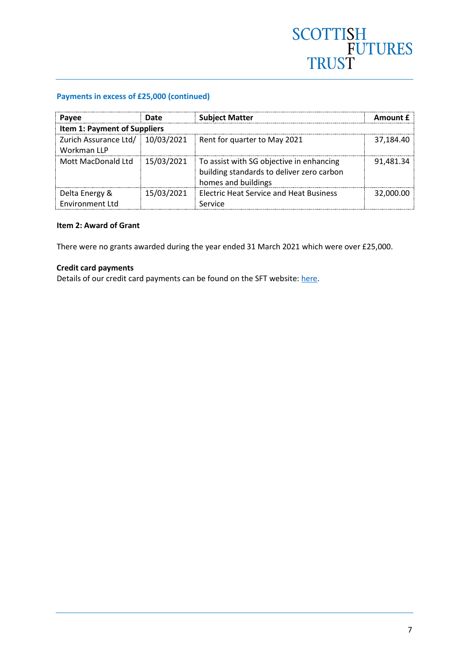## SCOTTISH<br>FUTURES<br>TRUST

#### **Payments in excess of £25,000 (continued)**

| Payee                                    | Date       | <b>Subject Matter</b>                                                                                        | Amount £  |  |  |  |  |
|------------------------------------------|------------|--------------------------------------------------------------------------------------------------------------|-----------|--|--|--|--|
| <b>Item 1: Payment of Suppliers</b>      |            |                                                                                                              |           |  |  |  |  |
| Zurich Assurance Ltd/<br>Workman LLP     | 10/03/2021 | Rent for quarter to May 2021                                                                                 | 37,184.40 |  |  |  |  |
| Mott MacDonald Ltd                       | 15/03/2021 | To assist with SG objective in enhancing<br>building standards to deliver zero carbon<br>homes and buildings | 91,481.34 |  |  |  |  |
| Delta Energy &<br><b>Environment Ltd</b> | 15/03/2021 | <b>Electric Heat Service and Heat Business</b><br>Service                                                    | 32,000.00 |  |  |  |  |

#### **Item 2: Award of Grant**

There were no grants awarded during the year ended 31 March 2021 which were over £25,000.

#### **Credit card payments**

Details of our credit card payments can be found on the SFT website: [here.](https://www.scottishfuturestrust.org.uk/search?q=credit+card)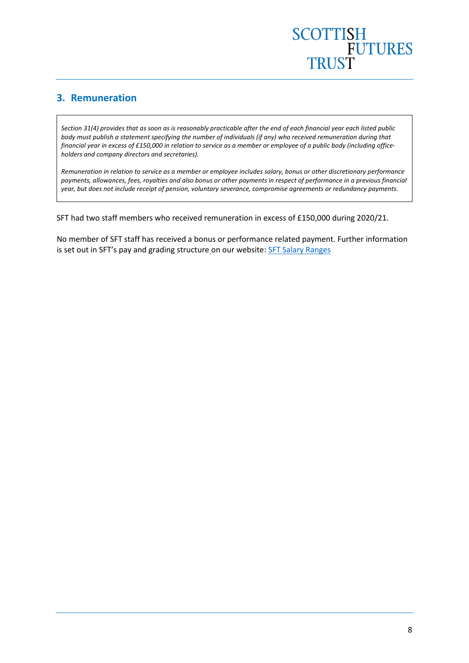### <span id="page-8-0"></span>**3. Remuneration**

*Section 31(4) provides that as soon as is reasonably practicable after the end of each financial year each listed public body must publish a statement specifying the number of individuals (if any) who received remuneration during that financial year in excess of £150,000 in relation to service as a member or employee of a public body (including officeholders and company directors and secretaries).*

*Remuneration in relation to service as a member or employee includes salary, bonus or other discretionary performance payments, allowances, fees, royalties and also bonus or other payments in respect of performance in a previous financial year, but does not include receipt of pension, voluntary severance, compromise agreements or redundancy payments.*

SFT had two staff members who received remuneration in excess of £150,000 during 2020/21.

No member of SFT staff has received a bonus or performance related payment. Further information is set out in SFT's pay and grading structur[e](https://www.scottishfuturestrust.org.uk/storage/uploads/sftsalaryrange2016.pdf) on our website[: SFT Salary Ranges](https://www.scottishfuturestrust.org.uk/storage/uploads/salaryrange1stapril2020.pdf)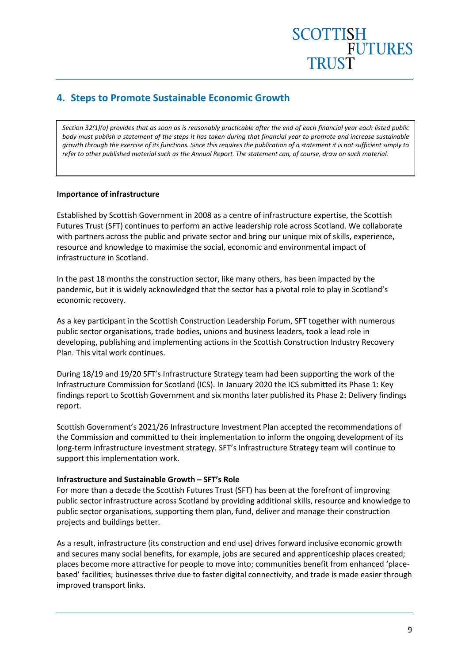## <span id="page-9-0"></span>**4. Steps to Promote Sustainable Economic Growth**

*Section 32(1)(a) provides that as soon as is reasonably practicable after the end of each financial year each listed public body must publish a statement of the steps it has taken during that financial year to promote and increase sustainable growth through the exercise of its functions. Since this requires the publication of a statement it is not sufficient simply to refer to other published material such as the Annual Report. The statement can, of course, draw on such material.* 

#### **Importance of infrastructure**

Established by Scottish Government in 2008 as a centre of infrastructure expertise, the Scottish Futures Trust (SFT) continues to perform an active leadership role across Scotland. We collaborate with partners across the public and private sector and bring our unique mix of skills, experience, resource and knowledge to maximise the social, economic and environmental impact of infrastructure in Scotland.

In the past 18 months the construction sector, like many others, has been impacted by the pandemic, but it is widely acknowledged that the sector has a pivotal role to play in Scotland's economic recovery.

As a key participant in the Scottish Construction Leadership Forum, SFT together with numerous public sector organisations, trade bodies, unions and business leaders, took a lead role in developing, publishing and implementing actions in the Scottish Construction Industry Recovery Plan. This vital work continues.

During 18/19 and 19/20 SFT's Infrastructure Strategy team had been supporting the work of the Infrastructure Commission for Scotland (ICS). In January 2020 the ICS submitted its Phase 1: Key findings report to Scottish Government and six months later published its Phase 2: Delivery findings report.

Scottish Government's 2021/26 Infrastructure Investment Plan accepted the recommendations of the Commission and committed to their implementation to inform the ongoing development of its long-term infrastructure investment strategy. SFT's Infrastructure Strategy team will continue to support this implementation work.

#### **Infrastructure and Sustainable Growth – SFT's Role**

For more than a decade the Scottish Futures Trust (SFT) has been at the forefront of improving public sector infrastructure across Scotland by providing additional skills, resource and knowledge to public sector organisations, supporting them plan, fund, deliver and manage their construction projects and buildings better.

As a result, infrastructure (its construction and end use) drives forward inclusive economic growth and secures many social benefits, for example, jobs are secured and apprenticeship places created; places become more attractive for people to move into; communities benefit from enhanced 'placebased' facilities; businesses thrive due to faster digital connectivity, and trade is made easier through improved transport links.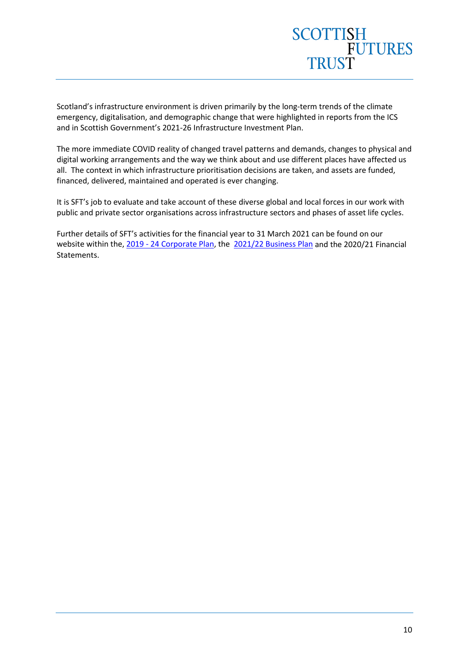

Scotland's infrastructure environment is driven primarily by the long-term trends of the climate emergency, digitalisation, and demographic change that were highlighted in reports from the ICS and in Scottish Government's 2021-26 Infrastructure Investment Plan.

The more immediate COVID reality of changed travel patterns and demands, changes to physical and digital working arrangements and the way we think about and use different places have affected us all. The context in which infrastructure prioritisation decisions are taken, and assets are funded, financed, delivered, maintained and operated is ever changing.

It is SFT's job to evaluate and take account of these diverse global and local forces in our work with public and private sector organisations across infrastructure sectors and phases of asset life cycles.

Further details of SFT's activities for the financial year to 31 March 2021 can be found on our website within the, 2019 - [24 Corporate Plan,](https://www.scottishfuturestrust.org.uk/storage/uploads/corporateplan20192024a.pdf) the [2021/22 Business Plan](https://content.yudu.com/web/1uxzj/0A444bk/SFTBusPlan202122/html/index.html?origin=reader) and the 2020/21 Financial Statements.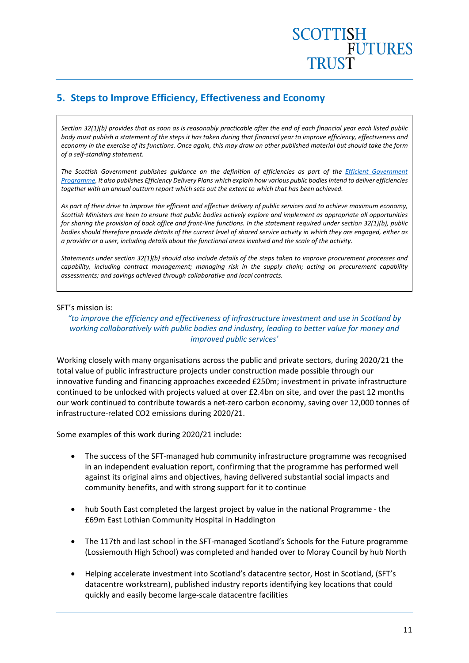## **SCOTTISH** FUTURES

## <span id="page-11-0"></span>**5. Steps to Improve Efficiency, Effectiveness and Economy**

*Section 32(1)(b) provides that as soon as is reasonably practicable after the end of each financial year each listed public body must publish a statement of the steps it has taken during that financial year to improve efficiency, effectiveness and economy in the exercise of its functions. Once again, this may draw on other published material but should take the form of a self-standing statement.* 

*The Scottish Government publishes guidance on the definition of efficiencies as part of the [Efficient Government](http://www.scotland.gov.uk/Topics/Government/PublicServiceReform/efficientgovernment)  [Programme.](http://www.scotland.gov.uk/Topics/Government/PublicServiceReform/efficientgovernment) It also publishes Efficiency Delivery Plans which explain how various public bodies intend to deliver efficiencies together with an annual outturn report which sets out the extent to which that has been achieved.* 

*As part of their drive to improve the efficient and effective delivery of public services and to achieve maximum economy, Scottish Ministers are keen to ensure that public bodies actively explore and implement as appropriate all opportunities for sharing the provision of back office and front-line functions. In the statement required under section 32(1)(b), public bodies should therefore provide details of the current level of shared service activity in which they are engaged, either as a provider or a user, including details about the functional areas involved and the scale of the activity.* 

*Statements under section 32(1)(b) should also include details of the steps taken to improve procurement processes and capability, including contract management; managing risk in the supply chain; acting on procurement capability assessments; and savings achieved through collaborative and local contracts.*

#### SFT's mission is:

#### *"to improve the efficiency and effectiveness of infrastructure investment and use in Scotland by working collaboratively with public bodies and industry, leading to better value for money and improved public services'*

Working closely with many organisations across the public and private sectors, during 2020/21 the total value of public infrastructure projects under construction made possible through our innovative funding and financing approaches exceeded £250m; investment in private infrastructure continued to be unlocked with projects valued at over £2.4bn on site, and over the past 12 months our work continued to contribute towards a net-zero carbon economy, saving over 12,000 tonnes of infrastructure-related CO2 emissions during 2020/21.

Some examples of this work during 2020/21 include:

- The success of the SFT-managed hub community infrastructure programme was recognised in an independent evaluation report, confirming that the programme has performed well against its original aims and objectives, having delivered substantial social impacts and community benefits, and with strong support for it to continue
- hub South East completed the largest project by value in the national Programme the £69m East Lothian Community Hospital in Haddington
- The 117th and last school in the SFT-managed Scotland's Schools for the Future programme (Lossiemouth High School) was completed and handed over to Moray Council by hub North
- Helping accelerate investment into Scotland's datacentre sector, Host in Scotland, (SFT's datacentre workstream), published industry reports identifying key locations that could quickly and easily become large-scale datacentre facilities